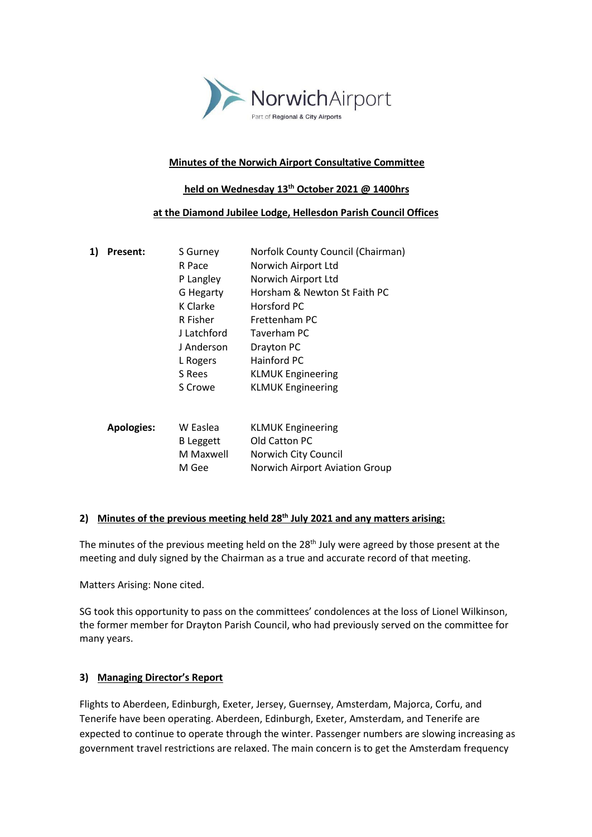

#### **Minutes of the Norwich Airport Consultative Committee**

#### **held on Wednesday 13th October 2021 @ 1400hrs**

#### **at the Diamond Jubilee Lodge, Hellesdon Parish Council Offices**

| 1) | <b>Present:</b>   | S Gurney         | Norfolk County Council (Chairman)     |
|----|-------------------|------------------|---------------------------------------|
|    |                   | R Pace           | Norwich Airport Ltd                   |
|    |                   | P Langley        | Norwich Airport Ltd                   |
|    |                   | G Hegarty        | Horsham & Newton St Faith PC          |
|    |                   | K Clarke         | Horsford PC                           |
|    |                   | R Fisher         | Frettenham PC                         |
|    |                   | J Latchford      | Taverham PC                           |
|    |                   | J Anderson       | Drayton PC                            |
|    |                   | L Rogers         | Hainford PC                           |
|    |                   | S Rees           | <b>KLMUK Engineering</b>              |
|    |                   | S Crowe          | <b>KLMUK Engineering</b>              |
|    |                   |                  |                                       |
|    | <b>Apologies:</b> | W Easlea         | <b>KLMUK Engineering</b>              |
|    |                   | <b>B</b> Leggett | Old Catton PC                         |
|    |                   | M Maxwell        | Norwich City Council                  |
|    |                   | M Gee            | <b>Norwich Airport Aviation Group</b> |
|    |                   |                  |                                       |

# **2) Minutes of the previous meeting held 28th July 2021 and any matters arising:**

The minutes of the previous meeting held on the 28<sup>th</sup> July were agreed by those present at the meeting and duly signed by the Chairman as a true and accurate record of that meeting.

Matters Arising: None cited.

SG took this opportunity to pass on the committees' condolences at the loss of Lionel Wilkinson, the former member for Drayton Parish Council, who had previously served on the committee for many years.

## **3) Managing Director's Report**

Flights to Aberdeen, Edinburgh, Exeter, Jersey, Guernsey, Amsterdam, Majorca, Corfu, and Tenerife have been operating. Aberdeen, Edinburgh, Exeter, Amsterdam, and Tenerife are expected to continue to operate through the winter. Passenger numbers are slowing increasing as government travel restrictions are relaxed. The main concern is to get the Amsterdam frequency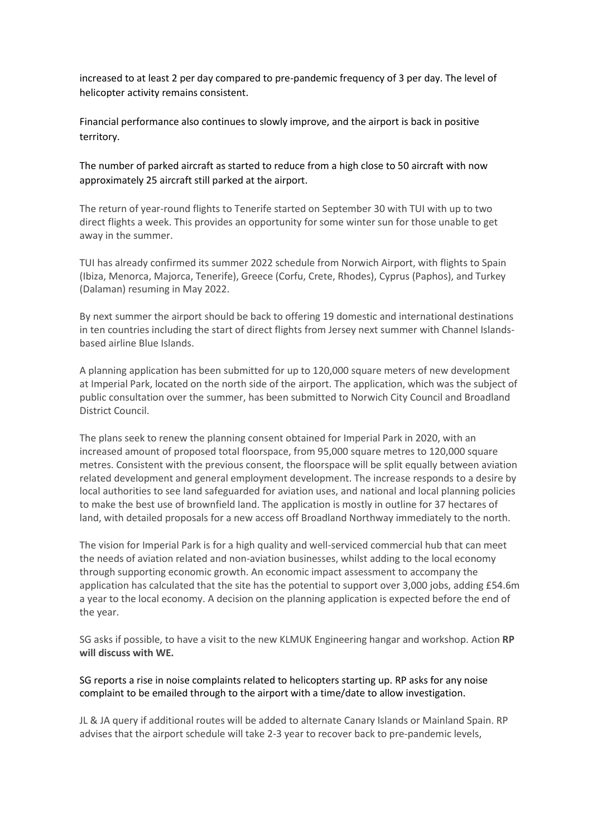increased to at least 2 per day compared to pre-pandemic frequency of 3 per day. The level of helicopter activity remains consistent.

Financial performance also continues to slowly improve, and the airport is back in positive territory.

The number of parked aircraft as started to reduce from a high close to 50 aircraft with now approximately 25 aircraft still parked at the airport.

The return of year-round flights to Tenerife started on September 30 with TUI with up to two direct flights a week. This provides an opportunity for some winter sun for those unable to get away in the summer.

TUI has already confirmed its summer 2022 schedule from Norwich Airport, with flights to Spain (Ibiza, Menorca, Majorca, Tenerife), Greece (Corfu, Crete, Rhodes), Cyprus (Paphos), and Turkey (Dalaman) resuming in May 2022.

By next summer the airport should be back to offering 19 domestic and international destinations in ten countries including the start of direct flights from Jersey next summer with Channel Islandsbased airline Blue Islands.

A planning application has been submitted for up to 120,000 square meters of new development at Imperial Park, located on the north side of the airport. The application, which was the subject of public consultation over the summer, has been submitted to Norwich City Council and Broadland District Council.

The plans seek to renew the planning consent obtained for Imperial Park in 2020, with an increased amount of proposed total floorspace, from 95,000 square metres to 120,000 square metres. Consistent with the previous consent, the floorspace will be split equally between aviation related development and general employment development. The increase responds to a desire by local authorities to see land safeguarded for aviation uses, and national and local planning policies to make the best use of brownfield land. The application is mostly in outline for 37 hectares of land, with detailed proposals for a new access off Broadland Northway immediately to the north.

The vision for Imperial Park is for a high quality and well-serviced commercial hub that can meet the needs of aviation related and non-aviation businesses, whilst adding to the local economy through supporting economic growth. An economic impact assessment to accompany the application has calculated that the site has the potential to support over 3,000 jobs, adding £54.6m a year to the local economy. A decision on the planning application is expected before the end of the year.

SG asks if possible, to have a visit to the new KLMUK Engineering hangar and workshop. Action **RP will discuss with WE.**

SG reports a rise in noise complaints related to helicopters starting up. RP asks for any noise complaint to be emailed through to the airport with a time/date to allow investigation.

JL & JA query if additional routes will be added to alternate Canary Islands or Mainland Spain. RP advises that the airport schedule will take 2-3 year to recover back to pre-pandemic levels,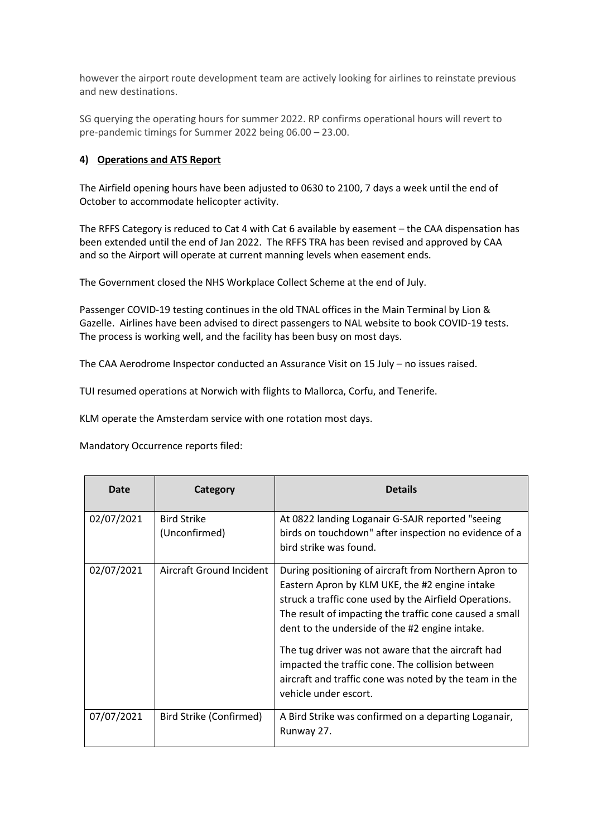however the airport route development team are actively looking for airlines to reinstate previous and new destinations.

SG querying the operating hours for summer 2022. RP confirms operational hours will revert to pre-pandemic timings for Summer 2022 being 06.00 – 23.00.

## **4) Operations and ATS Report**

The Airfield opening hours have been adjusted to 0630 to 2100, 7 days a week until the end of October to accommodate helicopter activity.

The RFFS Category is reduced to Cat 4 with Cat 6 available by easement – the CAA dispensation has been extended until the end of Jan 2022. The RFFS TRA has been revised and approved by CAA and so the Airport will operate at current manning levels when easement ends.

The Government closed the NHS Workplace Collect Scheme at the end of July.

Passenger COVID-19 testing continues in the old TNAL offices in the Main Terminal by Lion & Gazelle. Airlines have been advised to direct passengers to NAL website to book COVID-19 tests. The process is working well, and the facility has been busy on most days.

The CAA Aerodrome Inspector conducted an Assurance Visit on 15 July – no issues raised.

TUI resumed operations at Norwich with flights to Mallorca, Corfu, and Tenerife.

KLM operate the Amsterdam service with one rotation most days.

Mandatory Occurrence reports filed:

| Date       | Category                            | <b>Details</b>                                                                                                                                                                                                                                                                                                                                                                                                                                                              |
|------------|-------------------------------------|-----------------------------------------------------------------------------------------------------------------------------------------------------------------------------------------------------------------------------------------------------------------------------------------------------------------------------------------------------------------------------------------------------------------------------------------------------------------------------|
| 02/07/2021 | <b>Bird Strike</b><br>(Unconfirmed) | At 0822 landing Loganair G-SAJR reported "seeing<br>birds on touchdown" after inspection no evidence of a<br>bird strike was found.                                                                                                                                                                                                                                                                                                                                         |
| 02/07/2021 | Aircraft Ground Incident            | During positioning of aircraft from Northern Apron to<br>Eastern Apron by KLM UKE, the #2 engine intake<br>struck a traffic cone used by the Airfield Operations.<br>The result of impacting the traffic cone caused a small<br>dent to the underside of the #2 engine intake.<br>The tug driver was not aware that the aircraft had<br>impacted the traffic cone. The collision between<br>aircraft and traffic cone was noted by the team in the<br>vehicle under escort. |
| 07/07/2021 | Bird Strike (Confirmed)             | A Bird Strike was confirmed on a departing Loganair,<br>Runway 27.                                                                                                                                                                                                                                                                                                                                                                                                          |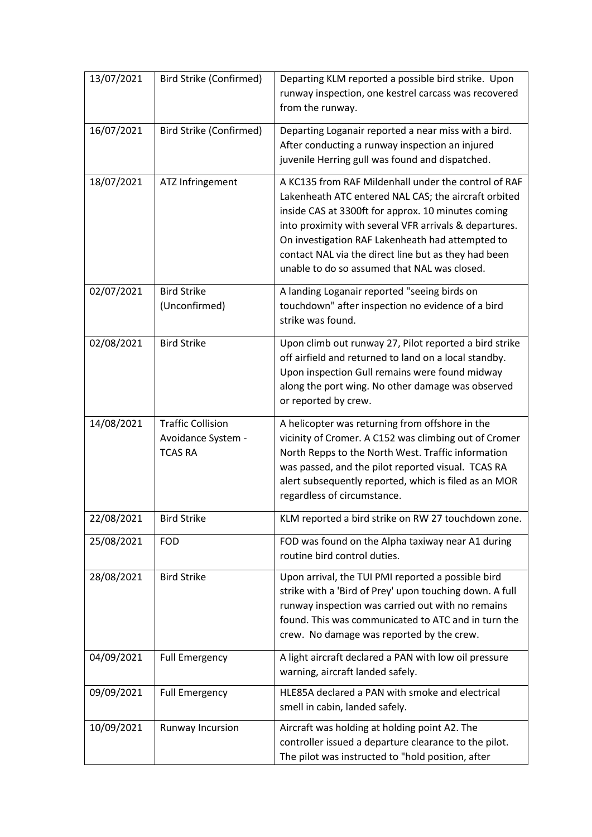| 13/07/2021 | <b>Bird Strike (Confirmed)</b>                                   | Departing KLM reported a possible bird strike. Upon<br>runway inspection, one kestrel carcass was recovered<br>from the runway.                                                                                                                                                                                                                                                          |
|------------|------------------------------------------------------------------|------------------------------------------------------------------------------------------------------------------------------------------------------------------------------------------------------------------------------------------------------------------------------------------------------------------------------------------------------------------------------------------|
| 16/07/2021 | <b>Bird Strike (Confirmed)</b>                                   | Departing Loganair reported a near miss with a bird.<br>After conducting a runway inspection an injured<br>juvenile Herring gull was found and dispatched.                                                                                                                                                                                                                               |
| 18/07/2021 | ATZ Infringement                                                 | A KC135 from RAF Mildenhall under the control of RAF<br>Lakenheath ATC entered NAL CAS; the aircraft orbited<br>inside CAS at 3300ft for approx. 10 minutes coming<br>into proximity with several VFR arrivals & departures.<br>On investigation RAF Lakenheath had attempted to<br>contact NAL via the direct line but as they had been<br>unable to do so assumed that NAL was closed. |
| 02/07/2021 | <b>Bird Strike</b><br>(Unconfirmed)                              | A landing Loganair reported "seeing birds on<br>touchdown" after inspection no evidence of a bird<br>strike was found.                                                                                                                                                                                                                                                                   |
| 02/08/2021 | <b>Bird Strike</b>                                               | Upon climb out runway 27, Pilot reported a bird strike<br>off airfield and returned to land on a local standby.<br>Upon inspection Gull remains were found midway<br>along the port wing. No other damage was observed<br>or reported by crew.                                                                                                                                           |
| 14/08/2021 | <b>Traffic Collision</b><br>Avoidance System -<br><b>TCAS RA</b> | A helicopter was returning from offshore in the<br>vicinity of Cromer. A C152 was climbing out of Cromer<br>North Repps to the North West. Traffic information<br>was passed, and the pilot reported visual. TCAS RA<br>alert subsequently reported, which is filed as an MOR<br>regardless of circumstance.                                                                             |
| 22/08/2021 | <b>Bird Strike</b>                                               | KLM reported a bird strike on RW 27 touchdown zone.                                                                                                                                                                                                                                                                                                                                      |
| 25/08/2021 | <b>FOD</b>                                                       | FOD was found on the Alpha taxiway near A1 during<br>routine bird control duties.                                                                                                                                                                                                                                                                                                        |
| 28/08/2021 | <b>Bird Strike</b>                                               | Upon arrival, the TUI PMI reported a possible bird<br>strike with a 'Bird of Prey' upon touching down. A full<br>runway inspection was carried out with no remains<br>found. This was communicated to ATC and in turn the<br>crew. No damage was reported by the crew.                                                                                                                   |
| 04/09/2021 | <b>Full Emergency</b>                                            | A light aircraft declared a PAN with low oil pressure<br>warning, aircraft landed safely.                                                                                                                                                                                                                                                                                                |
| 09/09/2021 | <b>Full Emergency</b>                                            | HLE85A declared a PAN with smoke and electrical<br>smell in cabin, landed safely.                                                                                                                                                                                                                                                                                                        |
| 10/09/2021 | Runway Incursion                                                 | Aircraft was holding at holding point A2. The<br>controller issued a departure clearance to the pilot.<br>The pilot was instructed to "hold position, after                                                                                                                                                                                                                              |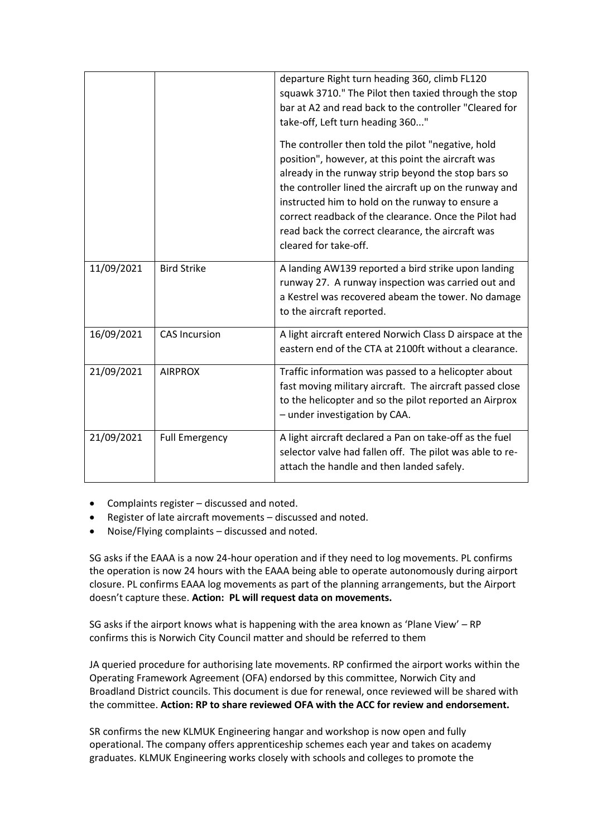|            |                       | departure Right turn heading 360, climb FL120<br>squawk 3710." The Pilot then taxied through the stop<br>bar at A2 and read back to the controller "Cleared for<br>take-off, Left turn heading 360"<br>The controller then told the pilot "negative, hold<br>position", however, at this point the aircraft was<br>already in the runway strip beyond the stop bars so<br>the controller lined the aircraft up on the runway and<br>instructed him to hold on the runway to ensure a<br>correct readback of the clearance. Once the Pilot had<br>read back the correct clearance, the aircraft was<br>cleared for take-off. |
|------------|-----------------------|-----------------------------------------------------------------------------------------------------------------------------------------------------------------------------------------------------------------------------------------------------------------------------------------------------------------------------------------------------------------------------------------------------------------------------------------------------------------------------------------------------------------------------------------------------------------------------------------------------------------------------|
| 11/09/2021 | <b>Bird Strike</b>    | A landing AW139 reported a bird strike upon landing<br>runway 27. A runway inspection was carried out and<br>a Kestrel was recovered abeam the tower. No damage<br>to the aircraft reported.                                                                                                                                                                                                                                                                                                                                                                                                                                |
| 16/09/2021 | <b>CAS Incursion</b>  | A light aircraft entered Norwich Class D airspace at the<br>eastern end of the CTA at 2100ft without a clearance.                                                                                                                                                                                                                                                                                                                                                                                                                                                                                                           |
| 21/09/2021 | <b>AIRPROX</b>        | Traffic information was passed to a helicopter about<br>fast moving military aircraft. The aircraft passed close<br>to the helicopter and so the pilot reported an Airprox<br>- under investigation by CAA.                                                                                                                                                                                                                                                                                                                                                                                                                 |
| 21/09/2021 | <b>Full Emergency</b> | A light aircraft declared a Pan on take-off as the fuel<br>selector valve had fallen off. The pilot was able to re-<br>attach the handle and then landed safely.                                                                                                                                                                                                                                                                                                                                                                                                                                                            |

- Complaints register discussed and noted.
- Register of late aircraft movements discussed and noted.
- Noise/Flying complaints discussed and noted.

SG asks if the EAAA is a now 24-hour operation and if they need to log movements. PL confirms the operation is now 24 hours with the EAAA being able to operate autonomously during airport closure. PL confirms EAAA log movements as part of the planning arrangements, but the Airport doesn't capture these. **Action: PL will request data on movements.**

SG asks if the airport knows what is happening with the area known as 'Plane View' – RP confirms this is Norwich City Council matter and should be referred to them

JA queried procedure for authorising late movements. RP confirmed the airport works within the Operating Framework Agreement (OFA) endorsed by this committee, Norwich City and Broadland District councils. This document is due for renewal, once reviewed will be shared with the committee. **Action: RP to share reviewed OFA with the ACC for review and endorsement.**

SR confirms the new KLMUK Engineering hangar and workshop is now open and fully operational. The company offers apprenticeship schemes each year and takes on academy graduates. KLMUK Engineering works closely with schools and colleges to promote the